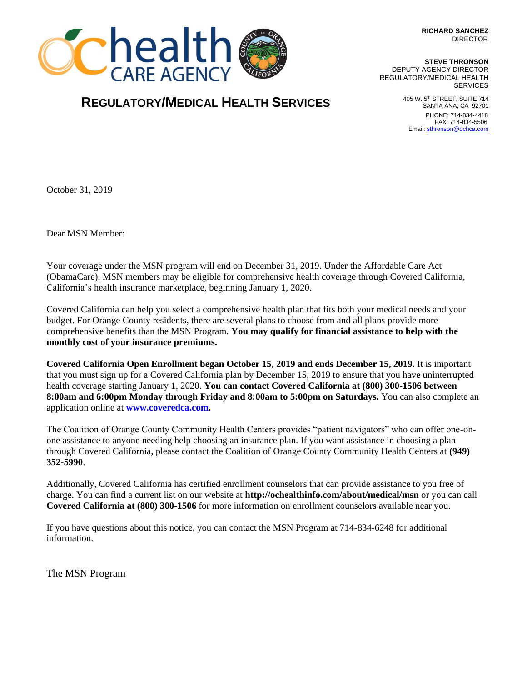**RICHARD SANCHEZ DIRECTOR** 



## **REGULATORY/MEDICAL HEALTH SERVICES**

**STEVE THRONSON** DEPUTY AGENCY DIRECTOR REGULATORY/MEDICAL HEALTH **SERVICES** 

> 405 W. 5th STREET, SUITE 714 SANTA ANA, CA 92701 PHONE: 714-834-4418 FAX: 714-834-5506 Email[: sthronson@ochca.com](mailto:sthronson@ochca.com)

October 31, 2019

Dear MSN Member:

Your coverage under the MSN program will end on December 31, 2019. Under the Affordable Care Act (ObamaCare), MSN members may be eligible for comprehensive health coverage through Covered California, California's health insurance marketplace, beginning January 1, 2020.

Covered California can help you select a comprehensive health plan that fits both your medical needs and your budget. For Orange County residents, there are several plans to choose from and all plans provide more comprehensive benefits than the MSN Program. **You may qualify for financial assistance to help with the monthly cost of your insurance premiums.** 

**Covered California Open Enrollment began October 15, 2019 and ends December 15, 2019.** It is important that you must sign up for a Covered California plan by December 15, 2019 to ensure that you have uninterrupted health coverage starting January 1, 2020. **You can contact Covered California at (800) 300-1506 between 8:00am and 6:00pm Monday through Friday and 8:00am to 5:00pm on Saturdays.** You can also complete an application online at **www.coveredca.com.** 

The Coalition of Orange County Community Health Centers provides "patient navigators" who can offer one-onone assistance to anyone needing help choosing an insurance plan. If you want assistance in choosing a plan through Covered California, please contact the Coalition of Orange County Community Health Centers at **(949) 352-5990**.

Additionally, Covered California has certified enrollment counselors that can provide assistance to you free of charge. You can find a current list on our website at **http://ochealthinfo.com/about/medical/msn** or you can call **Covered California at (800) 300-1506** for more information on enrollment counselors available near you.

If you have questions about this notice, you can contact the MSN Program at 714-834-6248 for additional information.

The MSN Program